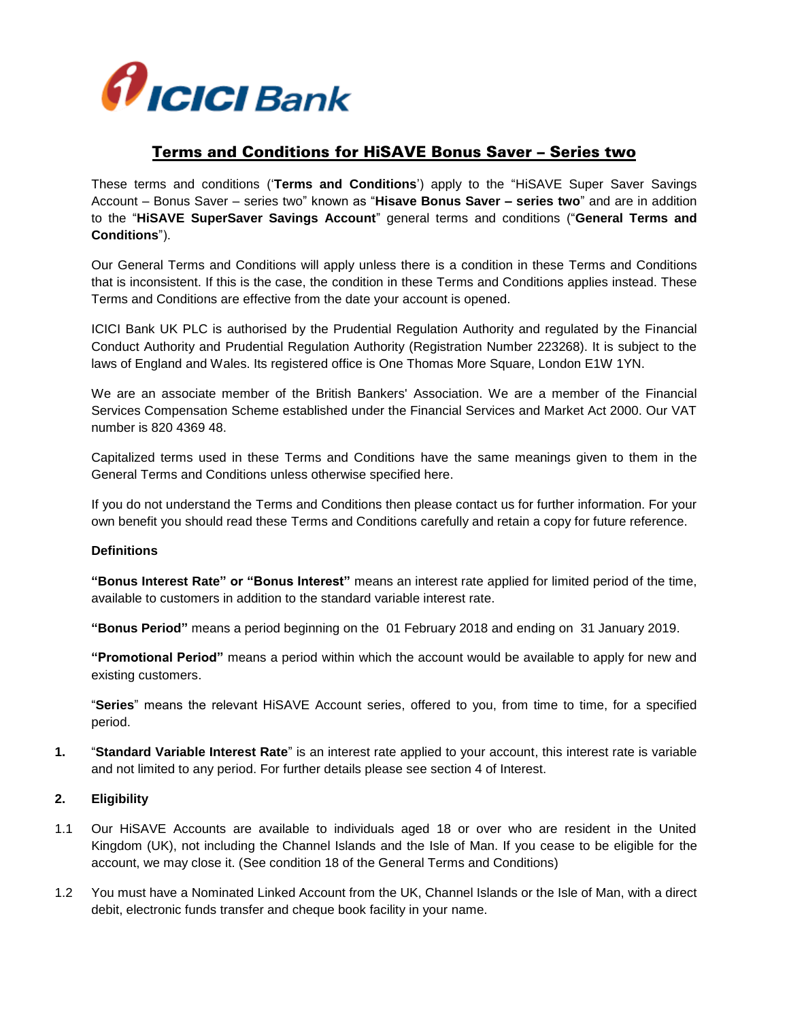

## Terms and Conditions for HiSAVE Bonus Saver – Series two

These terms and conditions ('**Terms and Conditions**') apply to the "HiSAVE Super Saver Savings Account – Bonus Saver – series two" known as "**Hisave Bonus Saver – series two**" and are in addition to the "**HiSAVE SuperSaver Savings Account**" general terms and conditions ("**General Terms and Conditions**").

Our General Terms and Conditions will apply unless there is a condition in these Terms and Conditions that is inconsistent. If this is the case, the condition in these Terms and Conditions applies instead. These Terms and Conditions are effective from the date your account is opened.

ICICI Bank UK PLC is authorised by the Prudential Regulation Authority and regulated by the Financial Conduct Authority and Prudential Regulation Authority (Registration Number 223268). It is subject to the laws of England and Wales. Its registered office is One Thomas More Square, London E1W 1YN.

We are an associate member of the British Bankers' Association. We are a member of the Financial Services Compensation Scheme established under the Financial Services and Market Act 2000. Our VAT number is 820 4369 48.

Capitalized terms used in these Terms and Conditions have the same meanings given to them in the General Terms and Conditions unless otherwise specified here.

If you do not understand the Terms and Conditions then please contact us for further information. For your own benefit you should read these Terms and Conditions carefully and retain a copy for future reference.

#### **Definitions**

**"Bonus Interest Rate" or "Bonus Interest"** means an interest rate applied for limited period of the time, available to customers in addition to the standard variable interest rate.

**"Bonus Period"** means a period beginning on the 01 February 2018 and ending on 31 January 2019.

**"Promotional Period"** means a period within which the account would be available to apply for new and existing customers.

"**Series**" means the relevant HiSAVE Account series, offered to you, from time to time, for a specified period.

**1.** "**Standard Variable Interest Rate**" is an interest rate applied to your account, this interest rate is variable and not limited to any period. For further details please see section 4 of Interest.

#### **2. Eligibility**

- 1.1 Our HiSAVE Accounts are available to individuals aged 18 or over who are resident in the United Kingdom (UK), not including the Channel Islands and the Isle of Man. If you cease to be eligible for the account, we may close it. (See condition 18 of the General Terms and Conditions)
- 1.2 You must have a Nominated Linked Account from the UK, Channel Islands or the Isle of Man, with a direct debit, electronic funds transfer and cheque book facility in your name.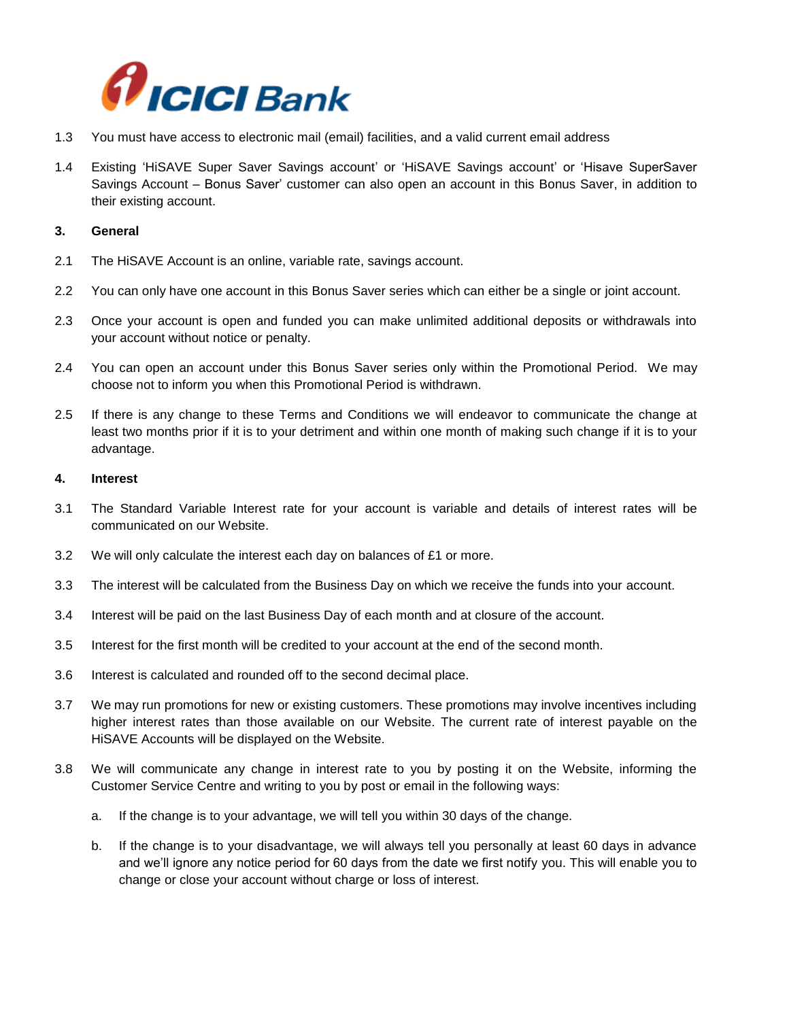

- 1.3 You must have access to electronic mail (email) facilities, and a valid current email address
- 1.4 Existing 'HiSAVE Super Saver Savings account' or 'HiSAVE Savings account' or 'Hisave SuperSaver Savings Account – Bonus Saver' customer can also open an account in this Bonus Saver, in addition to their existing account.

#### **3. General**

- 2.1 The HiSAVE Account is an online, variable rate, savings account.
- 2.2 You can only have one account in this Bonus Saver series which can either be a single or joint account.
- 2.3 Once your account is open and funded you can make unlimited additional deposits or withdrawals into your account without notice or penalty.
- 2.4 You can open an account under this Bonus Saver series only within the Promotional Period. We may choose not to inform you when this Promotional Period is withdrawn.
- 2.5 If there is any change to these Terms and Conditions we will endeavor to communicate the change at least two months prior if it is to your detriment and within one month of making such change if it is to your advantage.

#### **4. Interest**

- 3.1 The Standard Variable Interest rate for your account is variable and details of interest rates will be communicated on our Website.
- 3.2 We will only calculate the interest each day on balances of £1 or more.
- 3.3 The interest will be calculated from the Business Day on which we receive the funds into your account.
- 3.4 Interest will be paid on the last Business Day of each month and at closure of the account.
- 3.5 Interest for the first month will be credited to your account at the end of the second month.
- 3.6 Interest is calculated and rounded off to the second decimal place.
- 3.7 We may run promotions for new or existing customers. These promotions may involve incentives including higher interest rates than those available on our Website. The current rate of interest payable on the HiSAVE Accounts will be displayed on the Website.
- 3.8 We will communicate any change in interest rate to you by posting it on the Website, informing the Customer Service Centre and writing to you by post or email in the following ways:
	- a. If the change is to your advantage, we will tell you within 30 days of the change.
	- b. If the change is to your disadvantage, we will always tell you personally at least 60 days in advance and we'll ignore any notice period for 60 days from the date we first notify you. This will enable you to change or close your account without charge or loss of interest.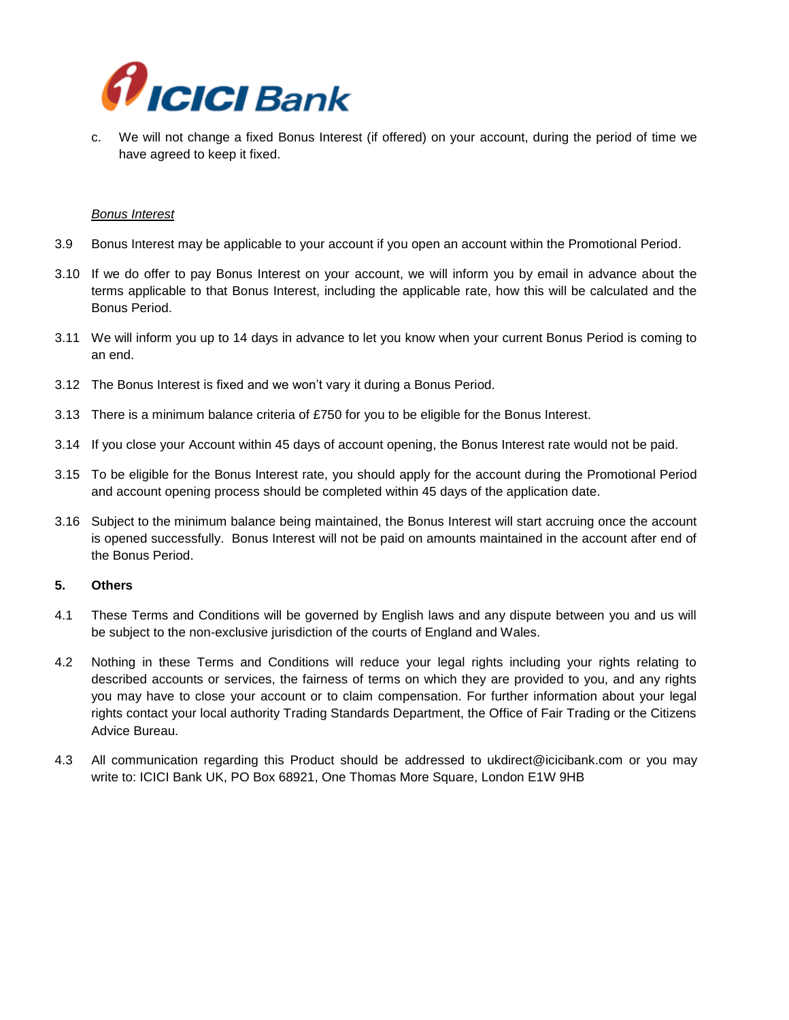

c. We will not change a fixed Bonus Interest (if offered) on your account, during the period of time we have agreed to keep it fixed.

#### *Bonus Interest*

- 3.9 Bonus Interest may be applicable to your account if you open an account within the Promotional Period.
- 3.10 If we do offer to pay Bonus Interest on your account, we will inform you by email in advance about the terms applicable to that Bonus Interest, including the applicable rate, how this will be calculated and the Bonus Period.
- 3.11 We will inform you up to 14 days in advance to let you know when your current Bonus Period is coming to an end.
- 3.12 The Bonus Interest is fixed and we won't vary it during a Bonus Period.
- 3.13 There is a minimum balance criteria of £750 for you to be eligible for the Bonus Interest.
- 3.14 If you close your Account within 45 days of account opening, the Bonus Interest rate would not be paid.
- 3.15 To be eligible for the Bonus Interest rate, you should apply for the account during the Promotional Period and account opening process should be completed within 45 days of the application date.
- 3.16 Subject to the minimum balance being maintained, the Bonus Interest will start accruing once the account is opened successfully. Bonus Interest will not be paid on amounts maintained in the account after end of the Bonus Period.

#### **5. Others**

- 4.1 These Terms and Conditions will be governed by English laws and any dispute between you and us will be subject to the non-exclusive jurisdiction of the courts of England and Wales.
- 4.2 Nothing in these Terms and Conditions will reduce your legal rights including your rights relating to described accounts or services, the fairness of terms on which they are provided to you, and any rights you may have to close your account or to claim compensation. For further information about your legal rights contact your local authority Trading Standards Department, the Office of Fair Trading or the Citizens Advice Bureau.
- 4.3 All communication regarding this Product should be addressed to [ukdirect@icicibank.com](mailto:ukdirect@icicibank.com) or you may write to: ICICI Bank UK, PO Box 68921, One Thomas More Square, London E1W 9HB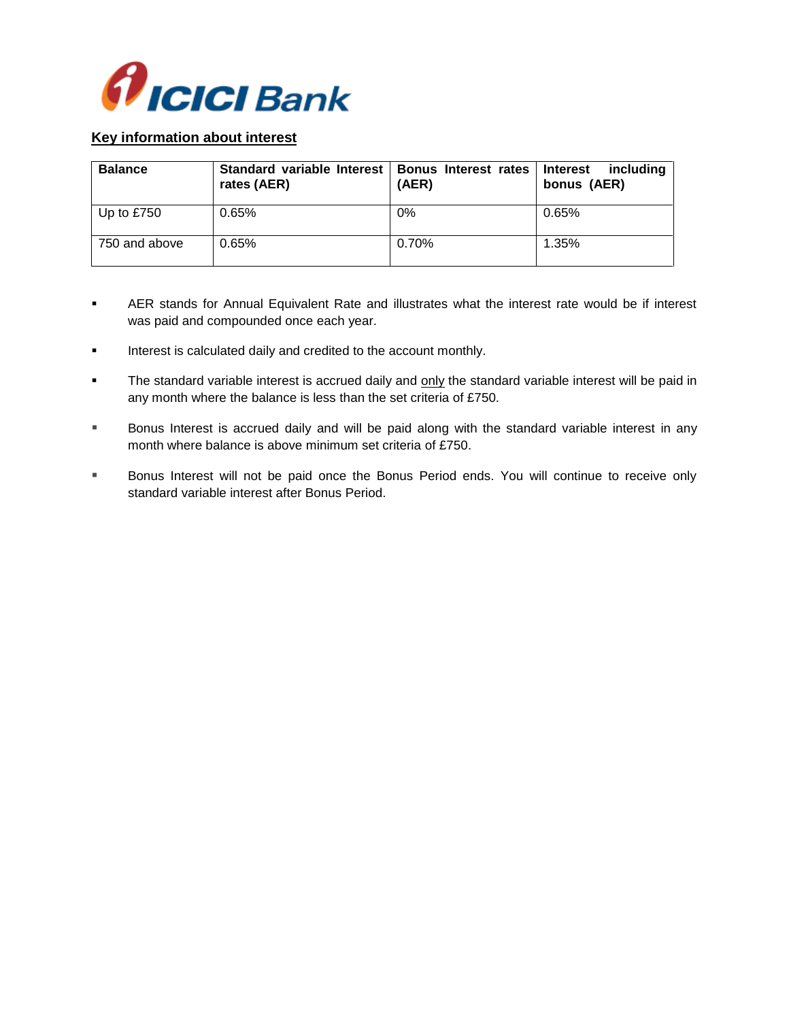

### **Key information about interest**

| <b>Balance</b> | Standard variable Interest   Bonus Interest rates   Interest<br>rates (AER) | (AER) | includina<br>bonus (AER) |
|----------------|-----------------------------------------------------------------------------|-------|--------------------------|
| Up to $£750$   | 0.65%                                                                       | 0%    | 0.65%                    |
| 750 and above  | 0.65%                                                                       | 0.70% | 1.35%                    |

- AER stands for Annual Equivalent Rate and illustrates what the interest rate would be if interest was paid and compounded once each year.
- **Interest is calculated daily and credited to the account monthly.**
- The standard variable interest is accrued daily and only the standard variable interest will be paid in any month where the balance is less than the set criteria of £750.
- **Bonus Interest is accrued daily and will be paid along with the standard variable interest in any** month where balance is above minimum set criteria of £750.
- Bonus Interest will not be paid once the Bonus Period ends. You will continue to receive only standard variable interest after Bonus Period.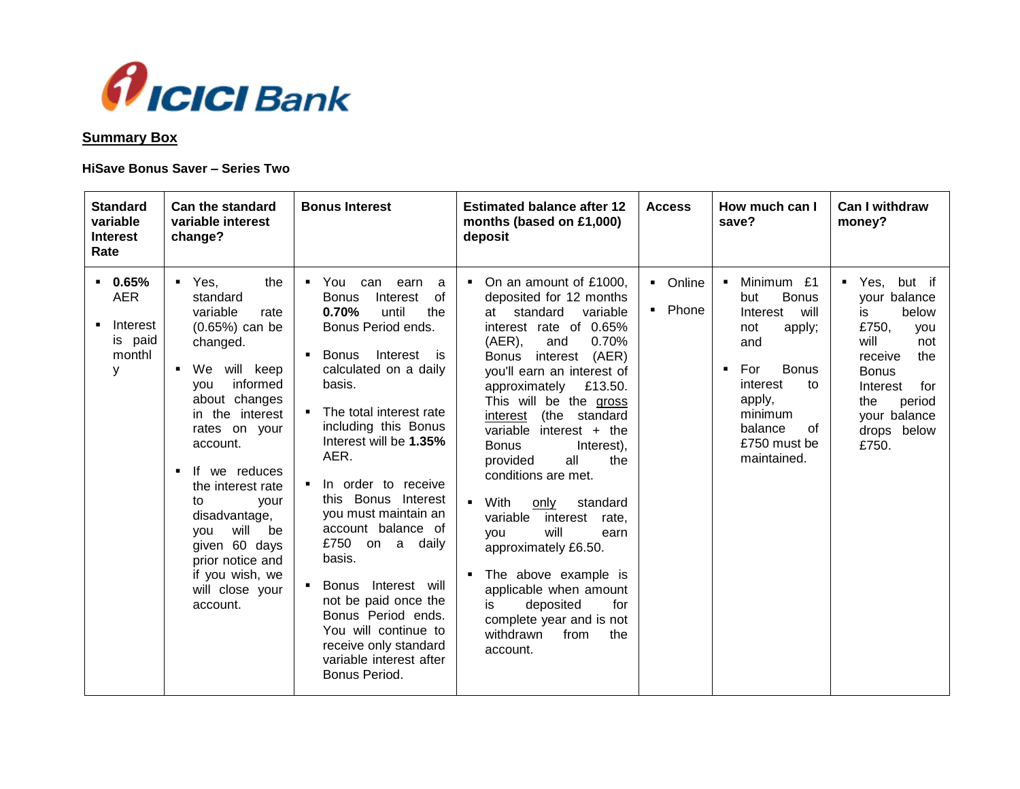

## **Summary Box**

## **HiSave Bonus Saver – Series Two**

| <b>Standard</b><br>variable<br><b>Interest</b><br>Rate       | Can the standard<br>variable interest<br>change?                                                                                                                                                                                                                                                                                                                                      | <b>Bonus Interest</b>                                                                                                                                                                                                                                                                                                                                                                                                                                                                                                                                                                            | <b>Estimated balance after 12</b><br>months (based on £1,000)<br>deposit                                                                                                                                                                                                                                                                                                                                                                                                                                                                                                                                                                                                                                 | <b>Access</b>                       | How much can I<br>save?                                                                                                                                                                                                         | <b>Can I withdraw</b><br>money?                                                                                                                                                                     |
|--------------------------------------------------------------|---------------------------------------------------------------------------------------------------------------------------------------------------------------------------------------------------------------------------------------------------------------------------------------------------------------------------------------------------------------------------------------|--------------------------------------------------------------------------------------------------------------------------------------------------------------------------------------------------------------------------------------------------------------------------------------------------------------------------------------------------------------------------------------------------------------------------------------------------------------------------------------------------------------------------------------------------------------------------------------------------|----------------------------------------------------------------------------------------------------------------------------------------------------------------------------------------------------------------------------------------------------------------------------------------------------------------------------------------------------------------------------------------------------------------------------------------------------------------------------------------------------------------------------------------------------------------------------------------------------------------------------------------------------------------------------------------------------------|-------------------------------------|---------------------------------------------------------------------------------------------------------------------------------------------------------------------------------------------------------------------------------|-----------------------------------------------------------------------------------------------------------------------------------------------------------------------------------------------------|
| $-0.65%$<br><b>AER</b><br>Interest<br>is paid<br>monthl<br>у | $Yes$ ,<br>the<br>standard<br>variable<br>rate<br>$(0.65%)$ can be<br>changed.<br>will keep<br>$\blacksquare$ We<br>informed<br>vou<br>about changes<br>in the interest<br>rates on your<br>account.<br>If we reduces<br>the interest rate<br>to<br>vour<br>disadvantage,<br>will<br>be<br>vou<br>given 60 days<br>prior notice and<br>if you wish, we<br>will close your<br>account. | You can<br>$\blacksquare$<br>earn<br>a<br><b>Bonus</b><br>of<br>Interest<br>0.70%<br>the<br>until<br>Bonus Period ends.<br>Interest is<br><b>Bonus</b><br>٠<br>calculated on a daily<br>basis.<br>The total interest rate<br>including this Bonus<br>Interest will be 1.35%<br>AER.<br>In order to receive<br>$\blacksquare$<br>this Bonus Interest<br>you must maintain an<br>account balance of<br>£750 on a daily<br>basis.<br>Bonus Interest will<br>not be paid once the<br>Bonus Period ends.<br>You will continue to<br>receive only standard<br>variable interest after<br>Bonus Period. | • On an amount of £1000,<br>deposited for 12 months<br>standard<br>variable<br>at<br>interest rate of 0.65%<br>$(AER)$ ,<br>0.70%<br>and<br>(AER)<br><b>Bonus</b><br>interest<br>you'll earn an interest of<br>approximately £13.50.<br>This will be the gross<br>(the standard<br>interest<br>variable interest $+$ the<br><b>Bonus</b><br>Interest),<br>all<br>the<br>provided<br>conditions are met.<br>With<br>only<br>standard<br>$\blacksquare$<br>variable<br>interest<br>rate.<br>will<br>vou<br>earn<br>approximately £6.50.<br>The above example is<br>$\blacksquare$<br>applicable when amount<br>deposited<br>is.<br>for<br>complete year and is not<br>withdrawn<br>from<br>the<br>account. | • Online<br>Phone<br>$\blacksquare$ | Minimum £1<br>$\blacksquare$<br><b>Bonus</b><br>but<br>Interest<br>will<br>not<br>apply;<br>and<br>For<br><b>Bonus</b><br>$\blacksquare$<br>interest<br>to<br>apply,<br>minimum<br>balance<br>of<br>£750 must be<br>maintained. | ■ Yes,<br>but if<br>your balance<br>below<br>is<br>£750,<br><b>VOU</b><br>will<br>not<br>the<br>receive<br><b>Bonus</b><br>Interest<br>for<br>the<br>period<br>your balance<br>drops below<br>£750. |